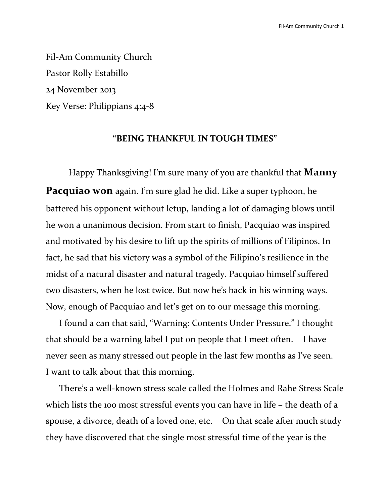Fil-Am Community Church Pastor Rolly Estabillo 24 November 2013 Key Verse: Philippians 4:4-8

# **"BEING THANKFUL IN TOUGH TIMES"**

Happy Thanksgiving! I'm sure many of you are thankful that **Manny Pacquiao won** again. I'm sure glad he did. Like a super typhoon, he battered his opponent without letup, landing a lot of damaging blows until he won a unanimous decision. From start to finish, Pacquiao was inspired and motivated by his desire to lift up the spirits of millions of Filipinos. In fact, he sad that his victory was a symbol of the Filipino's resilience in the midst of a natural disaster and natural tragedy. Pacquiao himself suffered two disasters, when he lost twice. But now he's back in his winning ways. Now, enough of Pacquiao and let's get on to our message this morning.

I found a can that said, "Warning: Contents Under Pressure." I thought that should be a warning label I put on people that I meet often. I have never seen as many stressed out people in the last few months as I've seen. I want to talk about that this morning.

There's a well-known stress scale called the Holmes and Rahe Stress Scale which lists the 100 most stressful events you can have in life – the death of a spouse, a divorce, death of a loved one, etc. On that scale after much study they have discovered that the single most stressful time of the year is the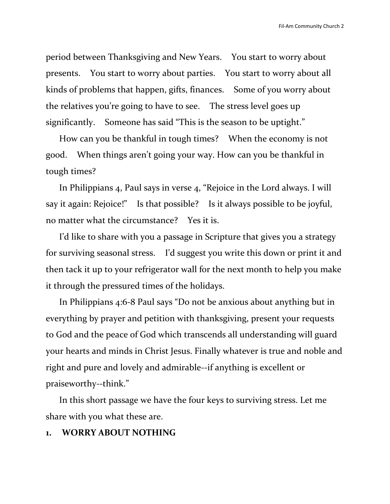period between Thanksgiving and New Years. You start to worry about presents. You start to worry about parties. You start to worry about all kinds of problems that happen, gifts, finances. Some of you worry about the relatives you're going to have to see. The stress level goes up significantly. Someone has said "This is the season to be uptight."

How can you be thankful in tough times? When the economy is not good. When things aren't going your way. How can you be thankful in tough times?

In Philippians 4, Paul says in verse 4, "Rejoice in the Lord always. I will say it again: Rejoice!" Is that possible? Is it always possible to be joyful, no matter what the circumstance? Yes it is.

I'd like to share with you a passage in Scripture that gives you a strategy for surviving seasonal stress. I'd suggest you write this down or print it and then tack it up to your refrigerator wall for the next month to help you make it through the pressured times of the holidays.

In Philippians 4:6-8 Paul says "Do not be anxious about anything but in everything by prayer and petition with thanksgiving, present your requests to God and the peace of God which transcends all understanding will guard your hearts and minds in Christ Jesus. Finally whatever is true and noble and right and pure and lovely and admirable--if anything is excellent or praiseworthy--think."

In this short passage we have the four keys to surviving stress. Let me share with you what these are.

# **1. WORRY ABOUT NOTHING**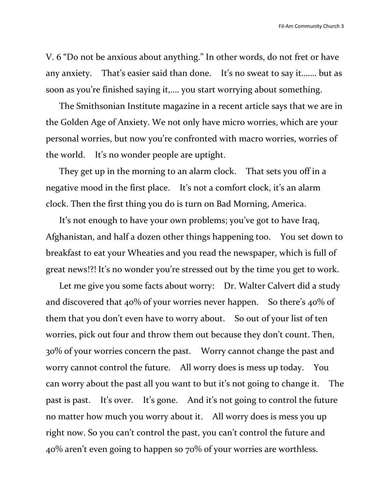V. 6 "Do not be anxious about anything." In other words, do not fret or have any anxiety. That's easier said than done. It's no sweat to say it……. but as soon as you're finished saying it,…. you start worrying about something.

The Smithsonian Institute magazine in a recent article says that we are in the Golden Age of Anxiety. We not only have micro worries, which are your personal worries, but now you're confronted with macro worries, worries of the world. It's no wonder people are uptight.

They get up in the morning to an alarm clock. That sets you off in a negative mood in the first place. It's not a comfort clock, it's an alarm clock. Then the first thing you do is turn on Bad Morning, America.

It's not enough to have your own problems; you've got to have Iraq, Afghanistan, and half a dozen other things happening too. You set down to breakfast to eat your Wheaties and you read the newspaper, which is full of great news!?! It's no wonder you're stressed out by the time you get to work.

Let me give you some facts about worry: Dr. Walter Calvert did a study and discovered that 40% of your worries never happen. So there's 40% of them that you don't even have to worry about. So out of your list of ten worries, pick out four and throw them out because they don't count. Then, 30% of your worries concern the past. Worry cannot change the past and worry cannot control the future. All worry does is mess up today. You can worry about the past all you want to but it's not going to change it. The past is past. It's over. It's gone. And it's not going to control the future no matter how much you worry about it. All worry does is mess you up right now. So you can't control the past, you can't control the future and 40% aren't even going to happen so 70% of your worries are worthless.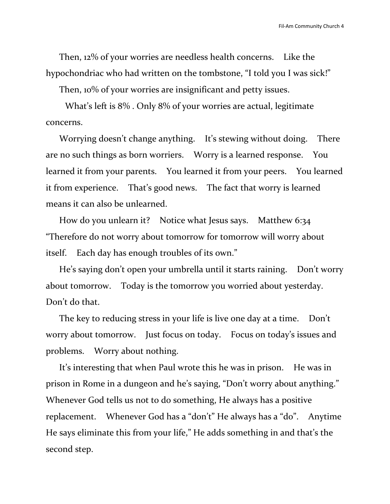Then, 12% of your worries are needless health concerns. Like the hypochondriac who had written on the tombstone, "I told you I was sick!"

Then, 10% of your worries are insignificant and petty issues.

 What's left is 8% . Only 8% of your worries are actual, legitimate concerns.

Worrying doesn't change anything. It's stewing without doing. There are no such things as born worriers. Worry is a learned response. You learned it from your parents. You learned it from your peers. You learned it from experience. That's good news. The fact that worry is learned means it can also be unlearned.

How do you unlearn it? Notice what Jesus says. Matthew 6:34 "Therefore do not worry about tomorrow for tomorrow will worry about itself. Each day has enough troubles of its own."

He's saying don't open your umbrella until it starts raining. Don't worry about tomorrow. Today is the tomorrow you worried about yesterday. Don't do that.

The key to reducing stress in your life is live one day at a time. Don't worry about tomorrow. Just focus on today. Focus on today's issues and problems. Worry about nothing.

It's interesting that when Paul wrote this he was in prison. He was in prison in Rome in a dungeon and he's saying, "Don't worry about anything." Whenever God tells us not to do something, He always has a positive replacement. Whenever God has a "don't" He always has a "do". Anytime He says eliminate this from your life," He adds something in and that's the second step.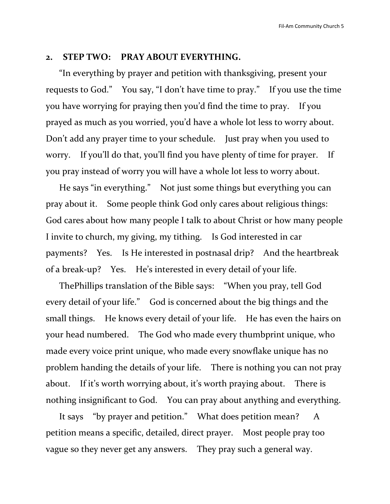## **2. STEP TWO: PRAY ABOUT EVERYTHING.**

"In everything by prayer and petition with thanksgiving, present your requests to God." You say, "I don't have time to pray." If you use the time you have worrying for praying then you'd find the time to pray. If you prayed as much as you worried, you'd have a whole lot less to worry about. Don't add any prayer time to your schedule. Just pray when you used to worry. If you'll do that, you'll find you have plenty of time for prayer. If you pray instead of worry you will have a whole lot less to worry about.

He says "in everything." Not just some things but everything you can pray about it. Some people think God only cares about religious things: God cares about how many people I talk to about Christ or how many people I invite to church, my giving, my tithing. Is God interested in car payments? Yes. Is He interested in postnasal drip? And the heartbreak of a break-up? Yes. He's interested in every detail of your life.

ThePhillips translation of the Bible says: "When you pray, tell God every detail of your life." God is concerned about the big things and the small things. He knows every detail of your life. He has even the hairs on your head numbered. The God who made every thumbprint unique, who made every voice print unique, who made every snowflake unique has no problem handing the details of your life. There is nothing you can not pray about. If it's worth worrying about, it's worth praying about. There is nothing insignificant to God. You can pray about anything and everything.

It says "by prayer and petition." What does petition mean? A petition means a specific, detailed, direct prayer. Most people pray too vague so they never get any answers. They pray such a general way.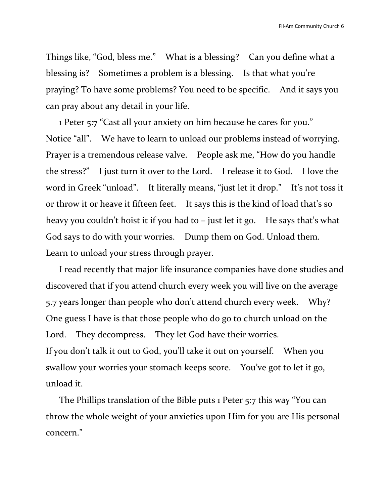Things like, "God, bless me." What is a blessing? Can you define what a blessing is? Sometimes a problem is a blessing. Is that what you're praying? To have some problems? You need to be specific. And it says you can pray about any detail in your life.

1 Peter 5:7 "Cast all your anxiety on him because he cares for you." Notice "all". We have to learn to unload our problems instead of worrying. Prayer is a tremendous release valve. People ask me, "How do you handle the stress?" I just turn it over to the Lord. I release it to God. I love the word in Greek "unload". It literally means, "just let it drop." It's not toss it or throw it or heave it fifteen feet. It says this is the kind of load that's so heavy you couldn't hoist it if you had to – just let it go. He says that's what God says to do with your worries. Dump them on God. Unload them. Learn to unload your stress through prayer.

I read recently that major life insurance companies have done studies and discovered that if you attend church every week you will live on the average 5.7 years longer than people who don't attend church every week. Why? One guess I have is that those people who do go to church unload on the Lord. They decompress. They let God have their worries. If you don't talk it out to God, you'll take it out on yourself. When you swallow your worries your stomach keeps score. You've got to let it go, unload it.

The Phillips translation of the Bible puts 1 Peter 5:7 this way "You can throw the whole weight of your anxieties upon Him for you are His personal concern."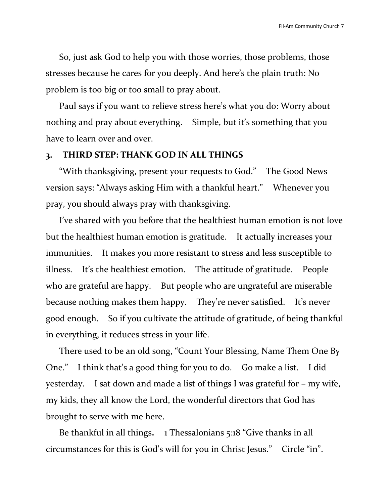So, just ask God to help you with those worries, those problems, those stresses because he cares for you deeply. And here's the plain truth: No problem is too big or too small to pray about.

Paul says if you want to relieve stress here's what you do: Worry about nothing and pray about everything. Simple, but it's something that you have to learn over and over.

### **3. THIRD STEP: THANK GOD IN ALL THINGS**

"With thanksgiving, present your requests to God." The Good News version says: "Always asking Him with a thankful heart." Whenever you pray, you should always pray with thanksgiving.

I've shared with you before that the healthiest human emotion is not love but the healthiest human emotion is gratitude. It actually increases your immunities. It makes you more resistant to stress and less susceptible to illness. It's the healthiest emotion. The attitude of gratitude. People who are grateful are happy. But people who are ungrateful are miserable because nothing makes them happy. They're never satisfied. It's never good enough. So if you cultivate the attitude of gratitude, of being thankful in everything, it reduces stress in your life.

There used to be an old song, "Count Your Blessing, Name Them One By One." I think that's a good thing for you to do. Go make a list. I did yesterday. I sat down and made a list of things I was grateful for – my wife, my kids, they all know the Lord, the wonderful directors that God has brought to serve with me here.

Be thankful in all things**.** 1 Thessalonians 5:18 "Give thanks in all circumstances for this is God's will for you in Christ Jesus." Circle "in".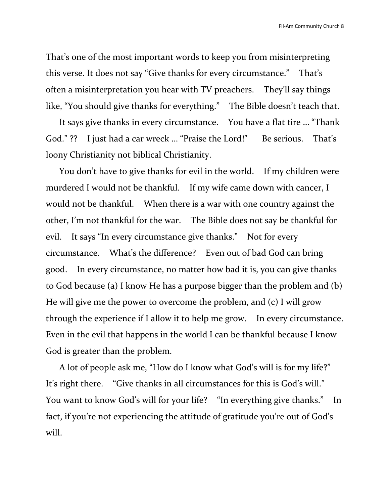That's one of the most important words to keep you from misinterpreting this verse. It does not say "Give thanks for every circumstance." That's often a misinterpretation you hear with TV preachers. They'll say things like, "You should give thanks for everything." The Bible doesn't teach that.

It says give thanks in every circumstance. You have a flat tire … "Thank God." ?? I just had a car wreck ... "Praise the Lord!" Be serious. That's loony Christianity not biblical Christianity.

You don't have to give thanks for evil in the world. If my children were murdered I would not be thankful. If my wife came down with cancer, I would not be thankful. When there is a war with one country against the other, I'm not thankful for the war. The Bible does not say be thankful for evil. It says "In every circumstance give thanks." Not for every circumstance. What's the difference? Even out of bad God can bring good. In every circumstance, no matter how bad it is, you can give thanks to God because (a) I know He has a purpose bigger than the problem and (b) He will give me the power to overcome the problem, and (c) I will grow through the experience if I allow it to help me grow. In every circumstance. Even in the evil that happens in the world I can be thankful because I know God is greater than the problem.

A lot of people ask me, "How do I know what God's will is for my life?" It's right there. "Give thanks in all circumstances for this is God's will." You want to know God's will for your life? "In everything give thanks." In fact, if you're not experiencing the attitude of gratitude you're out of God's will.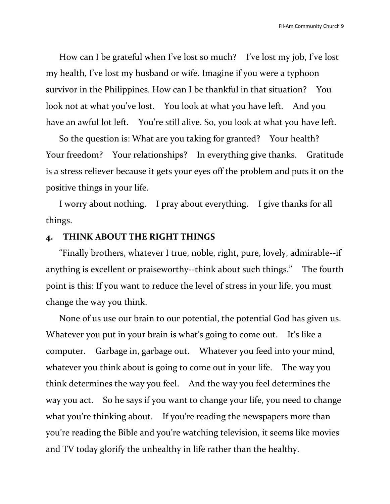How can I be grateful when I've lost so much? I've lost my job, I've lost my health, I've lost my husband or wife. Imagine if you were a typhoon survivor in the Philippines. How can I be thankful in that situation? You look not at what you've lost. You look at what you have left. And you have an awful lot left. You're still alive. So, you look at what you have left.

So the question is: What are you taking for granted? Your health? Your freedom? Your relationships? In everything give thanks. Gratitude is a stress reliever because it gets your eyes off the problem and puts it on the positive things in your life.

I worry about nothing. I pray about everything. I give thanks for all things.

### **4. THINK ABOUT THE RIGHT THINGS**

"Finally brothers, whatever I true, noble, right, pure, lovely, admirable--if anything is excellent or praiseworthy--think about such things." The fourth point is this: If you want to reduce the level of stress in your life, you must change the way you think.

None of us use our brain to our potential, the potential God has given us. Whatever you put in your brain is what's going to come out. It's like a computer. Garbage in, garbage out. Whatever you feed into your mind, whatever you think about is going to come out in your life. The way you think determines the way you feel. And the way you feel determines the way you act. So he says if you want to change your life, you need to change what you're thinking about. If you're reading the newspapers more than you're reading the Bible and you're watching television, it seems like movies and TV today glorify the unhealthy in life rather than the healthy.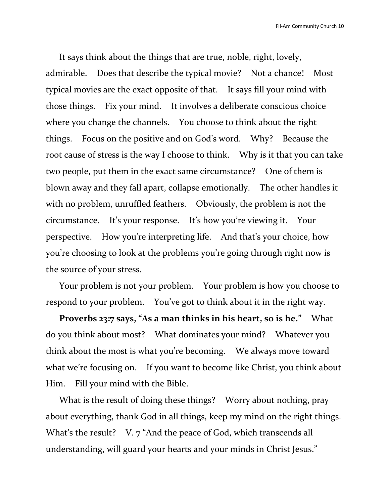It says think about the things that are true, noble, right, lovely, admirable. Does that describe the typical movie? Not a chance! Most typical movies are the exact opposite of that. It says fill your mind with those things. Fix your mind. It involves a deliberate conscious choice where you change the channels. You choose to think about the right things. Focus on the positive and on God's word. Why? Because the root cause of stress is the way I choose to think. Why is it that you can take two people, put them in the exact same circumstance? One of them is blown away and they fall apart, collapse emotionally. The other handles it with no problem, unruffled feathers. Obviously, the problem is not the circumstance. It's your response. It's how you're viewing it. Your perspective. How you're interpreting life. And that's your choice, how you're choosing to look at the problems you're going through right now is the source of your stress.

Your problem is not your problem. Your problem is how you choose to respond to your problem. You've got to think about it in the right way.

**Proverbs 23:7 says, "As a man thinks in his heart, so is he."** What do you think about most? What dominates your mind? Whatever you think about the most is what you're becoming. We always move toward what we're focusing on. If you want to become like Christ, you think about Him. Fill your mind with the Bible.

What is the result of doing these things? Worry about nothing, pray about everything, thank God in all things, keep my mind on the right things. What's the result? V. 7 "And the peace of God, which transcends all understanding, will guard your hearts and your minds in Christ Jesus."